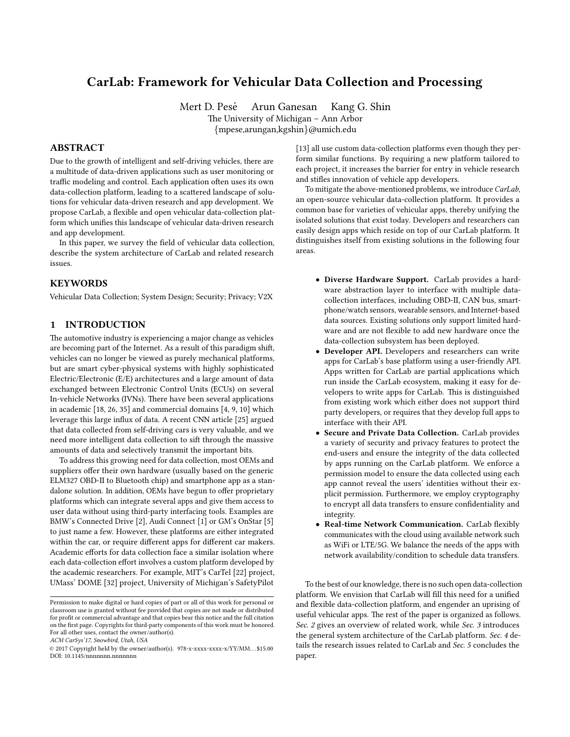# CarLab: Framework for Vehicular Data Collection and Processing

Mert D. Pesé Arun Ganesan Kang G. Shin

The University of Michigan - Ann Arbor

{mpese,arungan,kgshin}@umich.edu

# ABSTRACT

Due to the growth of intelligent and self-driving vehicles, there are a multitude of data-driven applications such as user monitoring or traffic modeling and control. Each application often uses its own data-collection platform, leading to a scattered landscape of solutions for vehicular data-driven research and app development. We propose CarLab, a flexible and open vehicular data-collection platform which unifies this landscape of vehicular data-driven research and app development.

In this paper, we survey the field of vehicular data collection, describe the system architecture of CarLab and related research issues.

# **KEYWORDS**

Vehicular Data Collection; System Design; Security; Privacy; V2X

# 1 INTRODUCTION

The automotive industry is experiencing a major change as vehicles are becoming part of the Internet. As a result of this paradigm shift, vehicles can no longer be viewed as purely mechanical platforms, but are smart cyber-physical systems with highly sophisticated Electric/Electronic (E/E) architectures and a large amount of data exchanged between Electronic Control Units (ECUs) on several In-vehicle Networks (IVNs). There have been several applications in academic [\[18,](#page-5-0) [26,](#page-5-1) [35\]](#page-5-2) and commercial domains [\[4,](#page-5-3) [9,](#page-5-4) [10\]](#page-5-5) which leverage this large influx of data. A recent CNN article [\[25\]](#page-5-6) argued that data collected from self-driving cars is very valuable, and we need more intelligent data collection to sift through the massive amounts of data and selectively transmit the important bits.

To address this growing need for data collection, most OEMs and suppliers offer their own hardware (usually based on the generic ELM327 OBD-II to Bluetooth chip) and smartphone app as a standalone solution. In addition, OEMs have begun to offer proprietary platforms which can integrate several apps and give them access to user data without using third-party interfacing tools. Examples are BMW's Connected Drive [\[2\]](#page-5-7), Audi Connect [\[1\]](#page-5-8) or GM's OnStar [\[5\]](#page-5-9) to just name a few. However, these platforms are either integrated within the car, or require different apps for different car makers. Academic efforts for data collection face a similar isolation where each data-collection effort involves a custom platform developed by the academic researchers. For example, MIT's CarTel [\[22\]](#page-5-10) project, UMass' DOME [\[32\]](#page-5-11) project, University of Michigan's SafetyPilot

[\[13\]](#page-5-12) all use custom data-collection platforms even though they perform similar functions. By requiring a new platform tailored to each project, it increases the barrier for entry in vehicle research and stifles innovation of vehicle app developers.

To mitigate the above-mentioned problems, we introduce CarLab, an open-source vehicular data-collection platform. It provides a common base for varieties of vehicular apps, thereby unifying the isolated solutions that exist today. Developers and researchers can easily design apps which reside on top of our CarLab platform. It distinguishes itself from existing solutions in the following four areas.

- Diverse Hardware Support. CarLab provides a hardware abstraction layer to interface with multiple datacollection interfaces, including OBD-II, CAN bus, smartphone/watch sensors, wearable sensors, and Internet-based data sources. Existing solutions only support limited hardware and are not flexible to add new hardware once the data-collection subsystem has been deployed.
- Developer API. Developers and researchers can write apps for CarLab's base platform using a user-friendly API. Apps written for CarLab are partial applications which run inside the CarLab ecosystem, making it easy for developers to write apps for CarLab. This is distinguished from existing work which either does not support third party developers, or requires that they develop full apps to interface with their API.
- Secure and Private Data Collection. CarLab provides a variety of security and privacy features to protect the end-users and ensure the integrity of the data collected by apps running on the CarLab platform. We enforce a permission model to ensure the data collected using each app cannot reveal the users' identities without their explicit permission. Furthermore, we employ cryptography to encrypt all data transfers to ensure condentiality and integrity.
- $\bullet$  Real-time Network Communication. CarLab flexibly communicates with the cloud using available network such as WiFi or LTE/5G. We balance the needs of the apps with network availability/condition to schedule data transfers.

To the best of our knowledge, there is no such open data-collection platform. We envision that CarLab will fill this need for a unified and flexible data-collection platform, and engender an uprising of useful vehicular apps. The rest of the paper is organized as follows. Sec. [2](#page-1-0) gives an overview of related work, while Sec. [3](#page-1-1) introduces the general system architecture of the CarLab platform. Sec. 4 details the research issues related to CarLab and Sec. 5 concludes the paper.

Permission to make digital or hard copies of part or all of this work for personal or classroom use is granted without fee provided that copies are not made or distributed for profit or commercial advantage and that copies bear this notice and the full citation on the first page. Copyrights for third-party components of this work must be honored. For all other uses, contact the owner/author(s).

ACM CarSys'17, Snowbird, Utah, USA

<sup>©</sup> 2017 Copyright held by the owner/author(s). 978-x-xxxx-xxxx-x/YY/MM. . . \$15.00 DOI: 10.1145/nnnnnnn.nnnnnnn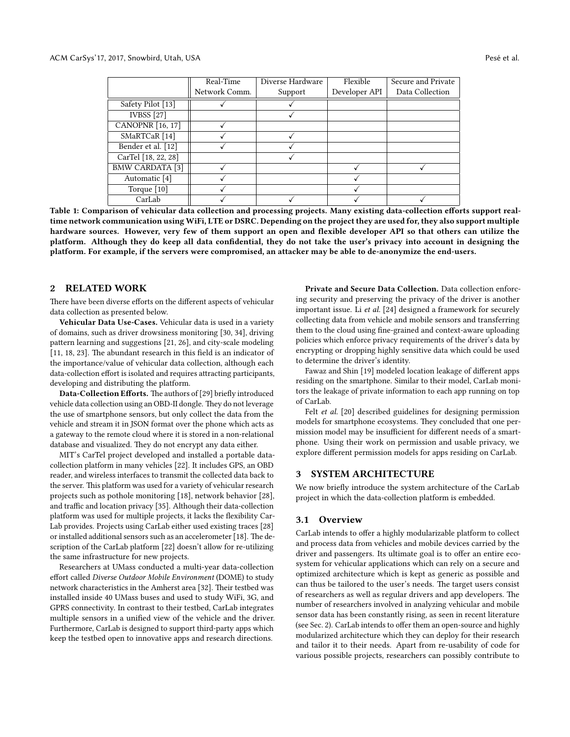|                          | Real-Time     | Diverse Hardware | Flexible      | Secure and Private |
|--------------------------|---------------|------------------|---------------|--------------------|
|                          | Network Comm. | Support          | Developer API | Data Collection    |
| Safety Pilot [13]        |               |                  |               |                    |
| <b>IVBSS</b> [27]        |               |                  |               |                    |
| CANOPNR [16, 17]         |               |                  |               |                    |
| SMaRTCaR <sup>[14]</sup> |               |                  |               |                    |
| Bender et al. [12]       |               |                  |               |                    |
| CarTel [18, 22, 28]      |               |                  |               |                    |
| <b>BMW CARDATA [3]</b>   |               |                  |               |                    |
| Automatic [4]            |               |                  |               |                    |
| Torque $[10]$            |               |                  |               |                    |
| CarLab                   |               |                  |               |                    |

Table 1: Comparison of vehicular data collection and processing projects. Many existing data-collection efforts support realtime network communication using WiFi, LTE or DSRC. Depending on the project they are used for, they also support multiple hardware sources. However, very few of them support an open and flexible developer API so that others can utilize the platform. Although they do keep all data confidential, they do not take the user's privacy into account in designing the platform. For example, if the servers were compromised, an attacker may be able to de-anonymize the end-users.

## <span id="page-1-0"></span>2 RELATED WORK

There have been diverse efforts on the different aspects of vehicular data collection as presented below.

Vehicular Data Use-Cases. Vehicular data is used in a variety of domains, such as driver drowsiness monitoring [\[30,](#page-5-20) [34\]](#page-5-21), driving pattern learning and suggestions [\[21,](#page-5-22) [26\]](#page-5-1), and city-scale modeling  $[11, 18, 23]$  $[11, 18, 23]$  $[11, 18, 23]$  $[11, 18, 23]$  $[11, 18, 23]$ . The abundant research in this field is an indicator of the importance/value of vehicular data collection, although each data-collection effort is isolated and requires attracting participants, developing and distributing the platform.

Data-Collection Efforts. The authors of [\[29\]](#page-5-25) briefly introduced vehicle data collection using an OBD-II dongle. They do not leverage the use of smartphone sensors, but only collect the data from the vehicle and stream it in JSON format over the phone which acts as a gateway to the remote cloud where it is stored in a non-relational database and visualized. They do not encrypt any data either.

MIT's CarTel project developed and installed a portable datacollection platform in many vehicles [\[22\]](#page-5-10). It includes GPS, an OBD reader, and wireless interfaces to transmit the collected data back to the server. This platform was used for a variety of vehicular research projects such as pothole monitoring [\[18\]](#page-5-0), network behavior [\[28\]](#page-5-18), and traffic and location privacy [\[35\]](#page-5-2). Although their data-collection platform was used for multiple projects, it lacks the flexibility Car-Lab provides. Projects using CarLab either used existing traces [\[28\]](#page-5-18) or installed additional sensors such as an accelerometer [\[18\]](#page-5-0). The description of the CarLab platform [\[22\]](#page-5-10) doesn't allow for re-utilizing the same infrastructure for new projects.

Researchers at UMass conducted a multi-year data-collection effort called Diverse Outdoor Mobile Environment (DOME) to study network characteristics in the Amherst area [\[32\]](#page-5-11). Their testbed was installed inside 40 UMass buses and used to study WiFi, 3G, and GPRS connectivity. In contrast to their testbed, CarLab integrates multiple sensors in a unified view of the vehicle and the driver. Furthermore, CarLab is designed to support third-party apps which keep the testbed open to innovative apps and research directions.

Private and Secure Data Collection. Data collection enforcing security and preserving the privacy of the driver is another important issue. Li et al. [\[24\]](#page-5-26) designed a framework for securely collecting data from vehicle and mobile sensors and transferring them to the cloud using fine-grained and context-aware uploading policies which enforce privacy requirements of the driver's data by encrypting or dropping highly sensitive data which could be used to determine the driver's identity.

Fawaz and Shin [\[19\]](#page-5-27) modeled location leakage of different apps residing on the smartphone. Similar to their model, CarLab monitors the leakage of private information to each app running on top of CarLab.

Felt et al. [\[20\]](#page-5-28) described guidelines for designing permission models for smartphone ecosystems. They concluded that one permission model may be insufficient for different needs of a smartphone. Using their work on permission and usable privacy, we explore different permission models for apps residing on CarLab.

# <span id="page-1-1"></span>**SYSTEM ARCHITECTURE**

We now briefly introduce the system architecture of the CarLab project in which the data-collection platform is embedded.

#### 3.1 Overview

CarLab intends to offer a highly modularizable platform to collect and process data from vehicles and mobile devices carried by the driver and passengers. Its ultimate goal is to offer an entire ecosystem for vehicular applications which can rely on a secure and optimized architecture which is kept as generic as possible and can thus be tailored to the user's needs. The target users consist of researchers as well as regular drivers and app developers. The number of researchers involved in analyzing vehicular and mobile sensor data has been constantly rising, as seen in recent literature (see Sec. [2\)](#page-1-0). CarLab intends to offer them an open-source and highly modularized architecture which they can deploy for their research and tailor it to their needs. Apart from re-usability of code for various possible projects, researchers can possibly contribute to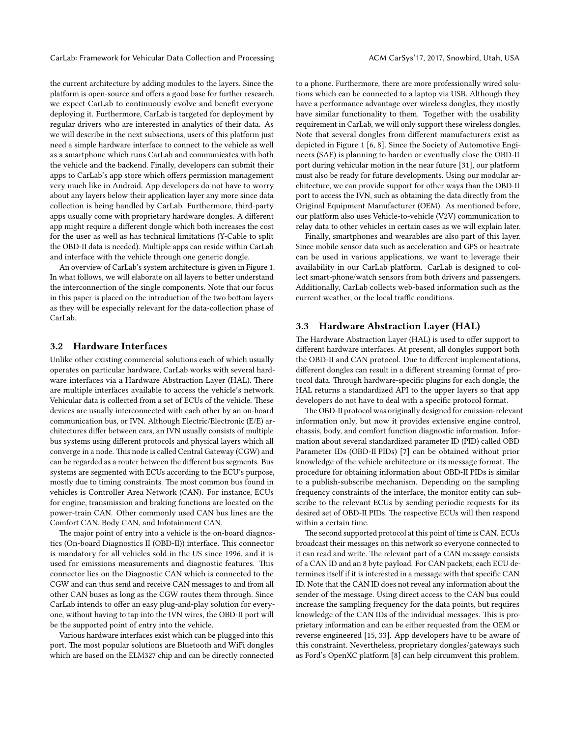CarLab: Framework for Vehicular Data Collection and Processing The Cass of ACM CarSys' 17, 2017, Snowbird, Utah, USA

the current architecture by adding modules to the layers. Since the platform is open-source and offers a good base for further research, we expect CarLab to continuously evolve and benefit everyone deploying it. Furthermore, CarLab is targeted for deployment by regular drivers who are interested in analytics of their data. As we will describe in the next subsections, users of this platform just need a simple hardware interface to connect to the vehicle as well as a smartphone which runs CarLab and communicates with both the vehicle and the backend. Finally, developers can submit their apps to CarLab's app store which offers permission management very much like in Android. App developers do not have to worry about any layers below their application layer any more since data collection is being handled by CarLab. Furthermore, third-party apps usually come with proprietary hardware dongles. A different app might require a different dongle which both increases the cost for the user as well as has technical limitations (Y-Cable to split the OBD-II data is needed). Multiple apps can reside within CarLab and interface with the vehicle through one generic dongle.

An overview of CarLab's system architecture is given in Figure [1.](#page-3-0) In what follows, we will elaborate on all layers to better understand the interconnection of the single components. Note that our focus in this paper is placed on the introduction of the two bottom layers as they will be especially relevant for the data-collection phase of CarLab.

#### 3.2 Hardware Interfaces

Unlike other existing commercial solutions each of which usually operates on particular hardware, CarLab works with several hardware interfaces via a Hardware Abstraction Layer (HAL). There are multiple interfaces available to access the vehicle's network. Vehicular data is collected from a set of ECUs of the vehicle. These devices are usually interconnected with each other by an on-board communication bus, or IVN. Although Electric/Electronic (E/E) architectures differ between cars, an IVN usually consists of multiple bus systems using different protocols and physical layers which all converge in a node. This node is called Central Gateway (CGW) and can be regarded as a router between the different bus segments. Bus systems are segmented with ECUs according to the ECU's purpose, mostly due to timing constraints. The most common bus found in vehicles is Controller Area Network (CAN). For instance, ECUs for engine, transmission and braking functions are located on the power-train CAN. Other commonly used CAN bus lines are the Comfort CAN, Body CAN, and Infotainment CAN.

The major point of entry into a vehicle is the on-board diagnostics (On-board Diagnostics II (OBD-II)) interface. This connector is mandatory for all vehicles sold in the US since 1996, and it is used for emissions measurements and diagnostic features. This connector lies on the Diagnostic CAN which is connected to the CGW and can thus send and receive CAN messages to and from all other CAN buses as long as the CGW routes them through. Since CarLab intends to offer an easy plug-and-play solution for everyone, without having to tap into the IVN wires, the OBD-II port will be the supported point of entry into the vehicle.

Various hardware interfaces exist which can be plugged into this port. The most popular solutions are Bluetooth and WiFi dongles which are based on the ELM327 chip and can be directly connected to a phone. Furthermore, there are more professionally wired solutions which can be connected to a laptop via USB. Although they have a performance advantage over wireless dongles, they mostly have similar functionality to them. Together with the usability requirement in CarLab, we will only support these wireless dongles. Note that several dongles from different manufacturers exist as depicted in Figure [1](#page-3-0) [\[6,](#page-5-29) [8\]](#page-5-30). Since the Society of Automotive Engineers (SAE) is planning to harden or eventually close the OBD-II port during vehicular motion in the near future [\[31\]](#page-5-31), our platform must also be ready for future developments. Using our modular architecture, we can provide support for other ways than the OBD-II port to access the IVN, such as obtaining the data directly from the Original Equipment Manufacturer (OEM). As mentioned before, our platform also uses Vehicle-to-vehicle (V2V) communication to relay data to other vehicles in certain cases as we will explain later.

Finally, smartphones and wearables are also part of this layer. Since mobile sensor data such as acceleration and GPS or heartrate can be used in various applications, we want to leverage their availability in our CarLab platform. CarLab is designed to collect smart-phone/watch sensors from both drivers and passengers. Additionally, CarLab collects web-based information such as the current weather, or the local traffic conditions.

#### 3.3 Hardware Abstraction Layer (HAL)

The Hardware Abstraction Layer (HAL) is used to offer support to different hardware interfaces. At present, all dongles support both the OBD-II and CAN protocol. Due to different implementations, different dongles can result in a different streaming format of protocol data. Through hardware-specific plugins for each dongle, the HAL returns a standardized API to the upper layers so that app developers do not have to deal with a specific protocol format.

The OBD-II protocol was originally designed for emission-relevant information only, but now it provides extensive engine control, chassis, body, and comfort function diagnostic information. Information about several standardized parameter ID (PID) called OBD Parameter IDs (OBD-II PIDs) [\[7\]](#page-5-32) can be obtained without prior knowledge of the vehicle architecture or its message format. The procedure for obtaining information about OBD-II PIDs is similar to a publish-subscribe mechanism. Depending on the sampling frequency constraints of the interface, the monitor entity can subscribe to the relevant ECUs by sending periodic requests for its desired set of OBD-II PIDs. The respective ECUs will then respond within a certain time.

The second supported protocol at this point of time is CAN. ECUs broadcast their messages on this network so everyone connected to it can read and write. The relevant part of a CAN message consists of a CAN ID and an 8 byte payload. For CAN packets, each ECU determines itself if it is interested in a message with that specific CAN ID. Note that the CAN ID does not reveal any information about the sender of the message. Using direct access to the CAN bus could increase the sampling frequency for the data points, but requires knowledge of the CAN IDs of the individual messages. This is proprietary information and can be either requested from the OEM or reverse engineered [\[15,](#page-5-33) [33\]](#page-5-34). App developers have to be aware of this constraint. Nevertheless, proprietary dongles/gateways such as Ford's OpenXC platform [\[8\]](#page-5-30) can help circumvent this problem.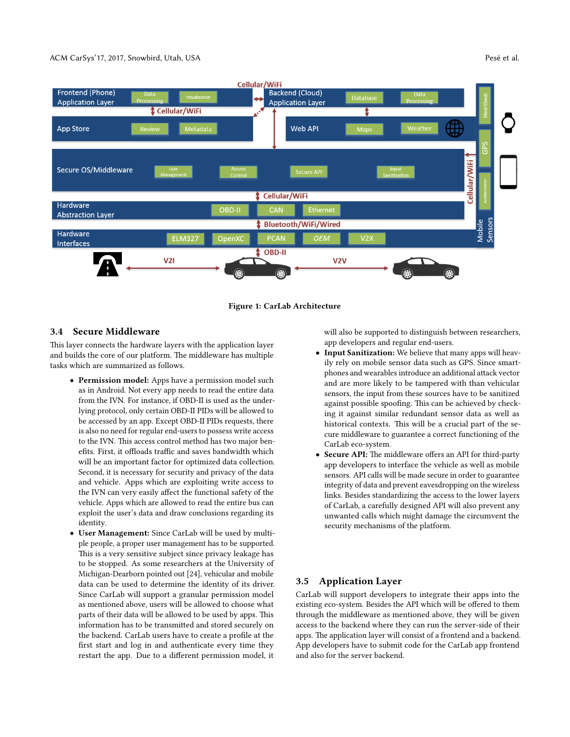#### ACM CarSys' 17, 2017, Snowbird, Utah, USA Pese et al.  $P$  esé et al.

<span id="page-3-0"></span>



# <span id="page-3-1"></span>3.4 Secure Middleware

This layer connects the hardware layers with the application layer and builds the core of our platform. The middleware has multiple tasks which are summarized as follows.

- Permission model: Apps have a permission model such as in Android. Not every app needs to read the entire data from the IVN. For instance, if OBD-II is used as the underlying protocol, only certain OBD-II PIDs will be allowed to be accessed by an app. Except OBD-II PIDs requests, there is also no need for regular end-users to possess write access to the IVN. This access control method has two major benefits. First, it offloads traffic and saves bandwidth which will be an important factor for optimized data collection. Second, it is necessary for security and privacy of the data and vehicle. Apps which are exploiting write access to the IVN can very easily affect the functional safety of the vehicle. Apps which are allowed to read the entire bus can exploit the user's data and draw conclusions regarding its identity.
- User Management: Since CarLab will be used by multiple people, a proper user management has to be supported. This is a very sensitive subject since privacy leakage has to be stopped. As some researchers at the University of Michigan-Dearborn pointed out [\[24\]](#page-5-26), vehicular and mobile data can be used to determine the identity of its driver. Since CarLab will support a granular permission model as mentioned above, users will be allowed to choose what parts of their data will be allowed to be used by apps. This information has to be transmitted and stored securely on the backend. CarLab users have to create a profile at the first start and log in and authenticate every time they restart the app. Due to a different permission model, it

will also be supported to distinguish between researchers, app developers and regular end-users.

- Input Sanitization: We believe that many apps will heavily rely on mobile sensor data such as GPS. Since smartphones and wearables introduce an additional attack vector and are more likely to be tampered with than vehicular sensors, the input from these sources have to be sanitized against possible spoofing. This can be achieved by checking it against similar redundant sensor data as well as historical contexts. This will be a crucial part of the secure middleware to guarantee a correct functioning of the CarLab eco-system.
- Secure API: The middleware offers an API for third-party app developers to interface the vehicle as well as mobile sensors. API calls will be made secure in order to guarantee integrity of data and prevent eavesdropping on the wireless links. Besides standardizing the access to the lower layers of CarLab, a carefully designed API will also prevent any unwanted calls which might damage the circumvent the security mechanisms of the platform.

# 3.5 Application Layer

CarLab will support developers to integrate their apps into the existing eco-system. Besides the API which will be offered to them through the middleware as mentioned above, they will be given access to the backend where they can run the server-side of their apps. The application layer will consist of a frontend and a backend. App developers have to submit code for the CarLab app frontend and also for the server backend.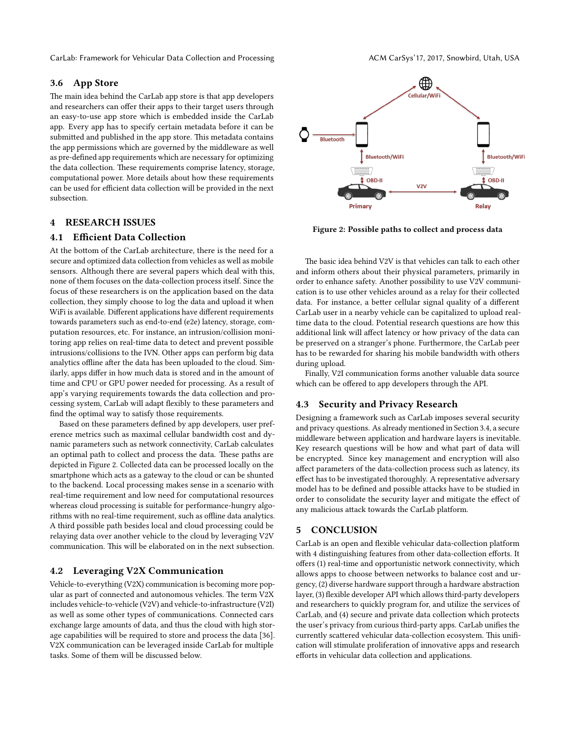CarLab: Framework for Vehicular Data Collection and Processing The Cass of ACM CarSys' 17, 2017, Snowbird, Utah, USA

# 3.6 App Store

The main idea behind the CarLab app store is that app developers and researchers can offer their apps to their target users through an easy-to-use app store which is embedded inside the CarLab app. Every app has to specify certain metadata before it can be submitted and published in the app store. This metadata contains the app permissions which are governed by the middleware as well as pre-defined app requirements which are necessary for optimizing the data collection. These requirements comprise latency, storage, computational power. More details about how these requirements can be used for efficient data collection will be provided in the next subsection.

# 4 RESEARCH ISSUES

#### 4.1 Efficient Data Collection

At the bottom of the CarLab architecture, there is the need for a secure and optimized data collection from vehicles as well as mobile sensors. Although there are several papers which deal with this, none of them focuses on the data-collection process itself. Since the focus of these researchers is on the application based on the data collection, they simply choose to log the data and upload it when WiFi is available. Different applications have different requirements towards parameters such as end-to-end (e2e) latency, storage, computation resources, etc. For instance, an intrusion/collision monitoring app relies on real-time data to detect and prevent possible intrusions/collisions to the IVN. Other apps can perform big data analytics offline after the data has been uploaded to the cloud. Similarly, apps differ in how much data is stored and in the amount of time and CPU or GPU power needed for processing. As a result of app's varying requirements towards the data collection and processing system, CarLab will adapt flexibly to these parameters and find the optimal way to satisfy those requirements.

Based on these parameters defined by app developers, user preference metrics such as maximal cellular bandwidth cost and dynamic parameters such as network connectivity, CarLab calculates an optimal path to collect and process the data. These paths are depicted in Figure [2.](#page-4-0) Collected data can be processed locally on the smartphone which acts as a gateway to the cloud or can be shunted to the backend. Local processing makes sense in a scenario with real-time requirement and low need for computational resources whereas cloud processing is suitable for performance-hungry algorithms with no real-time requirement, such as offline data analytics. A third possible path besides local and cloud processing could be relaying data over another vehicle to the cloud by leveraging V2V communication. This will be elaborated on in the next subsection.

# 4.2 Leveraging V2X Communication

Vehicle-to-everything (V2X) communication is becoming more popular as part of connected and autonomous vehicles. The term V2X includes vehicle-to-vehicle (V2V) and vehicle-to-infrastructure (V2I) as well as some other types of communications. Connected cars exchange large amounts of data, and thus the cloud with high storage capabilities will be required to store and process the data [\[36\]](#page-5-35). V2X communication can be leveraged inside CarLab for multiple tasks. Some of them will be discussed below.

<span id="page-4-0"></span>

Figure 2: Possible paths to collect and process data

The basic idea behind V2V is that vehicles can talk to each other and inform others about their physical parameters, primarily in order to enhance safety. Another possibility to use V2V communication is to use other vehicles around as a relay for their collected data. For instance, a better cellular signal quality of a different CarLab user in a nearby vehicle can be capitalized to upload realtime data to the cloud. Potential research questions are how this additional link will affect latency or how privacy of the data can be preserved on a stranger's phone. Furthermore, the CarLab peer has to be rewarded for sharing his mobile bandwidth with others during upload.

Finally, V2I communication forms another valuable data source which can be offered to app developers through the API.

# 4.3 Security and Privacy Research

Designing a framework such as CarLab imposes several security and privacy questions. As already mentioned in Section [3.4,](#page-3-1) a secure middleware between application and hardware layers is inevitable. Key research questions will be how and what part of data will be encrypted. Since key management and encryption will also affect parameters of the data-collection process such as latency, its effect has to be investigated thoroughly. A representative adversary model has to be defined and possible attacks have to be studied in order to consolidate the security layer and mitigate the effect of any malicious attack towards the CarLab platform.

#### 5 CONCLUSION

CarLab is an open and flexible vehicular data-collection platform with 4 distinguishing features from other data-collection efforts. It offers (1) real-time and opportunistic network connectivity, which allows apps to choose between networks to balance cost and urgency, (2) diverse hardware support through a hardware abstraction layer, (3) flexible developer API which allows third-party developers and researchers to quickly program for, and utilize the services of CarLab, and (4) secure and private data collection which protects the user's privacy from curious third-party apps. CarLab unifies the currently scattered vehicular data-collection ecosystem. This unification will stimulate proliferation of innovative apps and research efforts in vehicular data collection and applications.